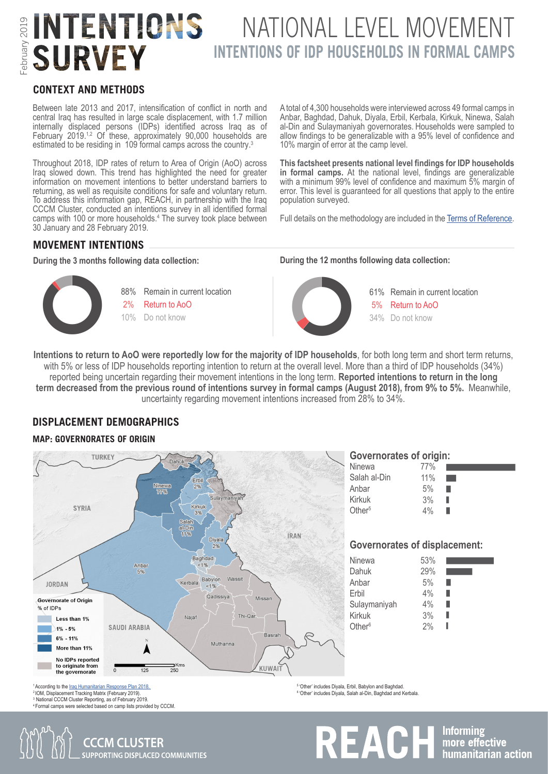# INTENTIONS NATIONAL LEVEL MOVEMENT **INTENTIONS OF IDP HOUSEHOLDS IN FORMAL CAMPS SURVEY**

#### **CONTEXT AND METHODS**

Between late 2013 and 2017, intensification of conflict in north and central Iraq has resulted in large scale displacement, with 1.7 million internally displaced persons (IDPs) identified across Iraq as of February 2019.<sup>1,2</sup> Of these, approximately 90,000 households are estimated to be residing in 109 formal camps across the country.<sup>3</sup>

Throughout 2018, IDP rates of return to Area of Origin (AoO) across Iraq slowed down. This trend has highlighted the need for greater information on movement intentions to better understand barriers to returning, as well as requisite conditions for safe and voluntary return. To address this information gap, REACH, in partnership with the Iraq CCCM Cluster, conducted an intentions survey in all identified formal camps with 100 or more households.<sup>4</sup> The survey took place between 30 January and 28 February 2019.

A total of 4,300 households were interviewed across 49 formal camps in Anbar, Baghdad, Dahuk, Diyala, Erbil, Kerbala, Kirkuk, Ninewa, Salah al-Din and Sulaymaniyah governorates. Households were sampled to allow findings to be generalizable with a 95% level of confidence and 10% margin of error at the camp level.

**This factsheet presents national level findings for IDP households in formal camps.** At the national level, findings are generalizable with a minimum 99% level of confidence and maximum 5% margin of error. This level is guaranteed for all questions that apply to the entire population surveyed.

Full details on the methodology are included in the [Terms of Reference.](http://www.reachresourcecentre.info/system/files/resource-documents/reach_cccm_irq_tor_intentionsassessment_july2018.pdf)

# **MOVEMENT INTENTIONS**





**During the 3 months following data collection: During the 12 months following data collection:**



Remain in current location Return to AoO Do not know 34%61% 5%

**Intentions to return to AoO were reportedly low for the majority of IDP households**, for both long term and short term returns, with 5% or less of IDP households reporting intention to return at the overall level. More than a third of IDP households (34%) reported being uncertain regarding their movement intentions in the long term. **Reported intentions to return in the long term decreased from the previous round of intentions survey in formal camps (August 2018), from 9% to 5%.** Meanwhile, uncertainty regarding movement intentions increased from 28% to 34%.

#### **DISPLACEMENT DEMOGRAPHICS**

#### **MAP: GOVERNORATES OF ORIGIN**



<sup>2</sup>IOM, Displacement Tracking Matrix (February 2019). <sup>3</sup> National CCCM Cluster Reporting, as of February 2019. <sup>4</sup> Formal camps were selected based on camp lists provided by CCCM. <sup>6</sup>'Other' includes Diyala, Salah al-Din, Baghdad and Kerbala.

REACH Informing<br> **REACH** Index effective

**CCCM CLUSTER SUPPORTING DISPLACED COMMUNITIES**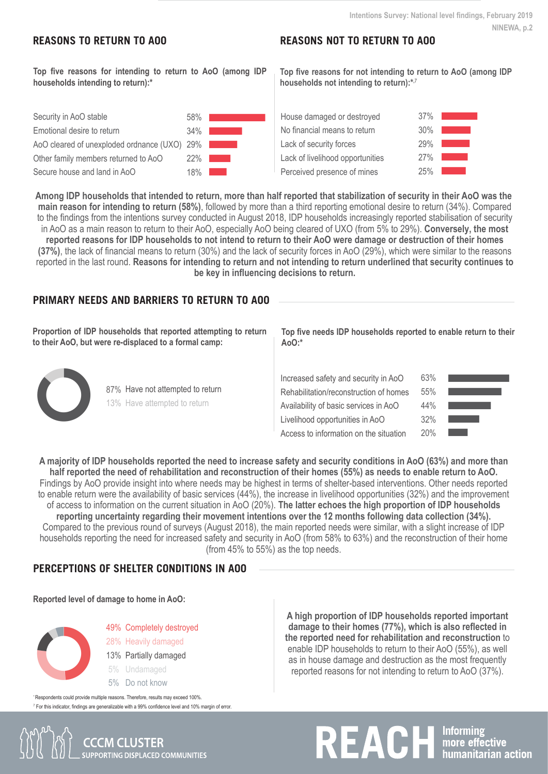## **REASONS TO RETURN TO AOO**

## **REASONS NOT TO RETURN TO AOO**

**Top five reasons for intending to return to AoO (among IDP households intending to return):\***

| Security in AoO stable                       | 58% |  |
|----------------------------------------------|-----|--|
| Emotional desire to return                   | 34% |  |
| AoO cleared of unexploded ordnance (UXO) 29% |     |  |
| Other family members returned to AoO         | 22% |  |
| Secure house and land in AoO                 | 18% |  |

**Top five reasons for not intending to return to AoO (among IDP households not intending to return):\*,**<sup>7</sup>

| House damaged or destroyed       | 37% |  |
|----------------------------------|-----|--|
| No financial means to return     | 30% |  |
| Lack of security forces          | 29% |  |
| Lack of livelihood opportunities | 27% |  |
| Perceived presence of mines      | 25% |  |
|                                  |     |  |

**Among IDP households that intended to return, more than half reported that stabilization of security in their AoO was the main reason for intending to return (58%)**, followed by more than a third reporting emotional desire to return (34%). Compared to the findings from the intentions survey conducted in August 2018, IDP households increasingly reported stabilisation of security in AoO as a main reason to return to their AoO, especially AoO being cleared of UXO (from 5% to 29%). **Conversely, the most reported reasons for IDP households to not intend to return to their AoO were damage or destruction of their homes (37%)**, the lack of financial means to return (30%) and the lack of security forces in AoO (29%), which were similar to the reasons reported in the last round. **Reasons for intending to return and not intending to return underlined that security continues to be key in influencing decisions to return.**

# **PRIMARY NEEDS AND BARRIERS TO RETURN TO AOO**

**Proportion of IDP households that reported attempting to return to their AoO, but were re-displaced to a formal camp:**



**Top five needs IDP households reported to enable return to their AoO:\***

| Increased safety and security in AoO   |  |  |  |  |
|----------------------------------------|--|--|--|--|
| Rehabilitation/reconstruction of homes |  |  |  |  |
| Availability of basic services in AoO  |  |  |  |  |
| Livelihood opportunities in AoO        |  |  |  |  |
| Access to information on the situation |  |  |  |  |

| 63% |  |
|-----|--|
| 55% |  |
| 44% |  |
| 32% |  |
| 20% |  |

**A majority of IDP households reported the need to increase safety and security conditions in AoO (63%) and more than half reported the need of rehabilitation and reconstruction of their homes (55%) as needs to enable return to AoO.**  Findings by AoO provide insight into where needs may be highest in terms of shelter-based interventions. Other needs reported to enable return were the availability of basic services (44%), the increase in livelihood opportunities (32%) and the improvement of access to information on the current situation in AoO (20%). **The latter echoes the high proportion of IDP households reporting uncertainty regarding their movement intentions over the 12 months following data collection (34%).**  Compared to the previous round of surveys (August 2018), the main reported needs were similar, with a slight increase of IDP households reporting the need for increased safety and security in AoO (from 58% to 63%) and the reconstruction of their home (from 45% to 55%) as the top needs.

#### **PERCEPTIONS OF SHELTER CONDITIONS IN AOO**

#### **Reported level of damage to home in AoO:**



49% Completely destroyed 28% Heavily damaged 13% Partially damaged

- Undamaged 5%
- Do not know 5%

**SUPPORTING DISPLACED COMMUNITIES** 

enable IDP households to return to their AoO (55%), as well as in house damage and destruction as the most frequently reported reasons for not intending to return to AoO (37%).





**A high proportion of IDP households reported important damage to their homes (77%), which is also reflected in the reported need for rehabilitation and reconstruction** to